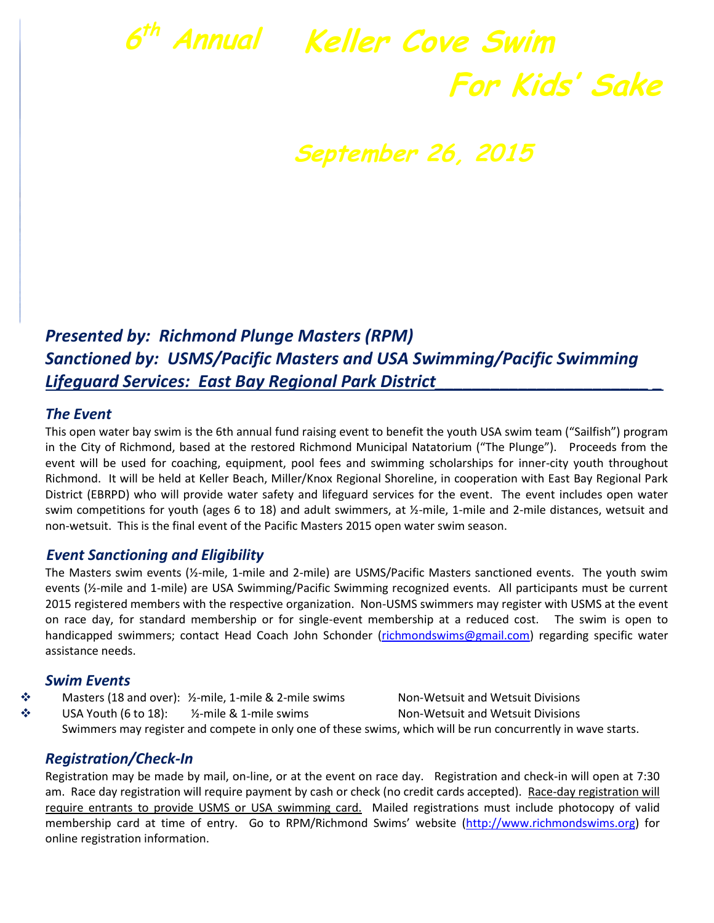# **6 th Annual Keller Cove Swim For Kids' Sake**

## **September 26, 2015**

### *Presented by: Richmond Plunge Masters (RPM) Sanctioned by: USMS/Pacific Masters and USA Swimming/Pacific Swimming Lifeguard Services: East Bay Regional Park District\_\_\_\_\_\_\_\_\_\_\_\_\_\_\_\_\_\_\_\_\_\_\_ \_*

#### *The Event*

This open water bay swim is the 6th annual fund raising event to benefit the youth USA swim team ("Sailfish") program in the City of Richmond, based at the restored Richmond Municipal Natatorium ("The Plunge"). Proceeds from the event will be used for coaching, equipment, pool fees and swimming scholarships for inner-city youth throughout Richmond. It will be held at Keller Beach, Miller/Knox Regional Shoreline, in cooperation with East Bay Regional Park District (EBRPD) who will provide water safety and lifeguard services for the event. The event includes open water swim competitions for youth (ages 6 to 18) and adult swimmers, at  $\frac{1}{2}$ -mile, 1-mile and 2-mile distances, wetsuit and non-wetsuit. This is the final event of the Pacific Masters 2015 open water swim season.

#### *Event Sanctioning and Eligibility*

The Masters swim events (½-mile, 1-mile and 2-mile) are USMS/Pacific Masters sanctioned events. The youth swim events (½-mile and 1-mile) are USA Swimming/Pacific Swimming recognized events. All participants must be current 2015 registered members with the respective organization. Non-USMS swimmers may register with USMS at the event on race day, for standard membership or for single-event membership at a reduced cost. The swim is open to handicapped swimmers; contact Head Coach John Schonder [\(richmondswims@gmail.com\)](mailto:richmondswims@gmail.com) regarding specific water assistance needs.

#### *Swim Events*

 Masters (18 and over): ½-mile, 1-mile & 2-mile swims Non-Wetsuit and Wetsuit Divisions ◆ USA Youth (6 to 18): 1/2-mile & 1-mile swims Non-Wetsuit and Wetsuit Divisions Swimmers may register and compete in only one of these swims, which will be run concurrently in wave starts.

#### *Registration/Check-In*

Registration may be made by mail, on-line, or at the event on race day. Registration and check-in will open at 7:30 am. Race day registration will require payment by cash or check (no credit cards accepted). Race-day registration will require entrants to provide USMS or USA swimming card. Mailed registrations must include photocopy of valid membership card at time of entry. Go to RPM/Richmond Swims' website ([http://www.richmondswims.org\)](http://www.richmondswims.org/) for online registration information.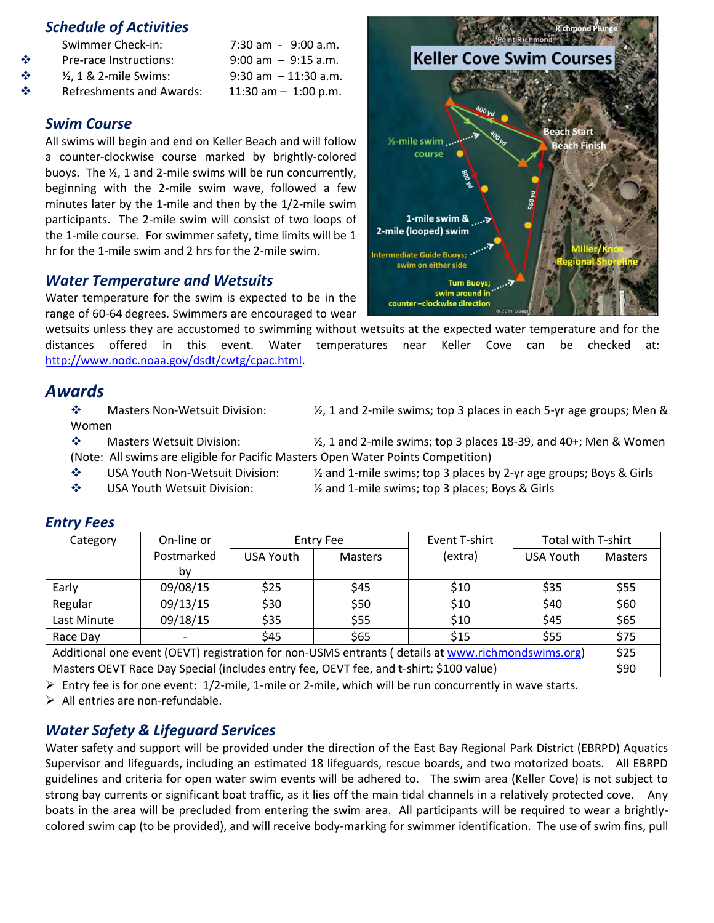#### *Schedule of Activities*

- $\div$  Pre-race Instructions: 9:00 am 9:15 a.m.
- $\div$   $\frac{1}{2}$ , 1 & 2-mile Swims: 9:30 am 11:30 a.m.
- $\div$  Refreshments and Awards: 11:30 am 1:00 p.m.

#### *Swim Course*

All swims will begin and end on Keller Beach and will follow a counter-clockwise course marked by brightly-colored buoys. The ½, 1 and 2-mile swims will be run concurrently, beginning with the 2-mile swim wave, followed a few minutes later by the 1-mile and then by the 1/2-mile swim participants. The 2-mile swim will consist of two loops of the 1-mile course. For swimmer safety, time limits will be 1 hr for the 1-mile swim and 2 hrs for the 2-mile swim.

7:30 am - 9:00 a.m.

#### *Water Temperature and Wetsuits*

Water temperature for the swim is expected to be in the range of 60-64 degrees. Swimmers are encouraged to wear

wetsuits unless they are accustomed to swimming without wetsuits at the expected water temperature and for the distances offered in this event. Water temperatures near Keller Cove can be checked at: [http://www.nodc.noaa.gov/dsdt/cwtg/cpac.html.](http://www.nodc.noaa.gov/dsdt/cwtg/cpac.html)

#### *Awards*

 Masters Non-Wetsuit Division: ½, 1 and 2-mile swims; top 3 places in each 5-yr age groups; Men & Women

 $\clubsuit$  Masters Wetsuit Division:  $\mathcal{V}_1$  and 2-mile swims; top 3 places 18-39, and 40+; Men & Women (Note: All swims are eligible for Pacific Masters Open Water Points Competition)

- USA Youth Non-Wetsuit Division: ½ and 1-mile swims; top 3 places by 2-yr age groups; Boys & Girls
- 
- USA Youth Wetsuit Division: ½ and 1-mile swims; top 3 places; Boys & Girls

| Category                                                                                          | On-line or | <b>Entry Fee</b> |                | Event T-shirt | Total with T-shirt |         |
|---------------------------------------------------------------------------------------------------|------------|------------------|----------------|---------------|--------------------|---------|
|                                                                                                   | Postmarked | USA Youth        | <b>Masters</b> | (extra)       | USA Youth          | Masters |
|                                                                                                   | by         |                  |                |               |                    |         |
| Early                                                                                             | 09/08/15   | \$25             | <b>S45</b>     | \$10          | \$35               | \$55    |
| Regular                                                                                           | 09/13/15   | \$30             | \$50           | \$10          | \$40               | \$60    |
| Last Minute                                                                                       | 09/18/15   | \$35             | \$55           | \$10          | \$45               | \$65    |
| Race Day                                                                                          |            | \$45             | \$65           | \$15          | \$55               | \$75    |
| Additional one event (OEVT) registration for non-USMS entrants (details at www.richmondswims.org) |            |                  |                |               |                    |         |
| Masters OEVT Race Day Special (includes entry fee, OEVT fee, and t-shirt; \$100 value)            |            |                  |                |               |                    |         |

#### *Entry Fees*

 $\triangleright$  Entry fee is for one event:  $1/2$ -mile, 1-mile or 2-mile, which will be run concurrently in wave starts.

 $\triangleright$  All entries are non-refundable.

#### *Water Safety & Lifeguard Services*

 Water safety and support will be provided under the direction of the East Bay Regional Park District (EBRPD) Aquatics Supervisor and lifeguards, including an estimated 18 lifeguards, rescue boards, and two motorized boats. All EBRPD guidelines and criteria for open water swim events will be adhered to. The swim area (Keller Cove) is not subject to strong bay currents or significant boat traffic, as it lies off the main tidal channels in a relatively protected cove. Any boats in the area will be precluded from entering the swim area. All participants will be required to wear a brightlycolored swim cap (to be provided), and will receive body-marking for swimmer identification. The use of swim fins, pull

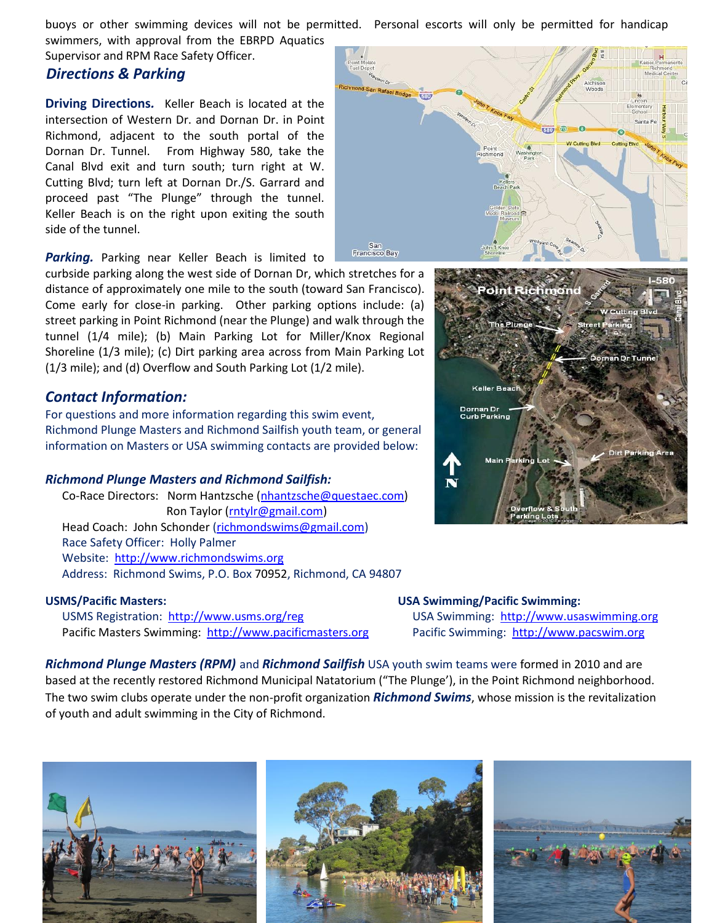buoys or other swimming devices will not be permitted. Personal escorts will only be permitted for handicap

swimmers, with approval from the EBRPD Aquatics Supervisor and RPM Race Safety Officer.

#### *Directions & Parking*

**Driving Directions***.* Keller Beach is located at the intersection of Western Dr. and Dornan Dr. in Point Richmond, adjacent to the south portal of the Dornan Dr. Tunnel. From Highway 580, take the Canal Blvd exit and turn south; turn right at W. Cutting Blvd; turn left at Dornan Dr./S. Garrard and proceed past "The Plunge" through the tunnel. Keller Beach is on the right upon exiting the south side of the tunnel.

*Parking.* Parking near Keller Beach is limited to

curbside parking along the west side of Dornan Dr, which stretches for a distance of approximately one mile to the south (toward San Francisco). Come early for close-in parking. Other parking options include: (a) street parking in Point Richmond (near the Plunge) and walk through the tunnel (1/4 mile); (b) Main Parking Lot for Miller/Knox Regional Shoreline (1/3 mile); (c) Dirt parking area across from Main Parking Lot (1/3 mile); and (d) Overflow and South Parking Lot (1/2 mile).

#### *Contact Information:*

For questions and more information regarding this swim event, Richmond Plunge Masters and Richmond Sailfish youth team, or general information on Masters or USA swimming contacts are provided below:

#### *Richmond Plunge Masters and Richmond Sailfish:*

Co-Race Directors: Norm Hantzsche [\(nhantzsche@questaec.com\)](mailto:nhantzsche@questaec.com) Ron Taylor [\(rntylr@gmail.com\)](mailto:rntylr@gmail.com) Head Coach: John Schonder [\(richmondswims@gmail.com\)](mailto:richmondswims@gmail.com) Race Safety Officer: Holly Palmer Website: [http://www.richmondswims.org](http://www.richmondswims.org/) Address: Richmond Swims, P.O. Box 70952, Richmond, CA 94807

USMS Registration: <http://www.usms.org/reg>USA Swimming: [http://www.usaswimming.org](http://www.usaswimming.org/) Pacific Masters Swimming: [http://www.pacificmasters.org](http://www.pacificmasters.org/) Pacific Swimming: [http://www.pacswim.org](http://www.pacswim.org/)

San<br>Francisco Bay



#### **USMS/Pacific Masters: USA Swimming/Pacific Swimming:**

*Richmond Plunge Masters (RPM)* and *Richmond Sailfish* USA youth swim teams were formed in 2010 and are based at the recently restored Richmond Municipal Natatorium ("The Plunge'), in the Point Richmond neighborhood. The two swim clubs operate under the non-profit organization *Richmond Swims*, whose mission is the revitalization of youth and adult swimming in the City of Richmond.